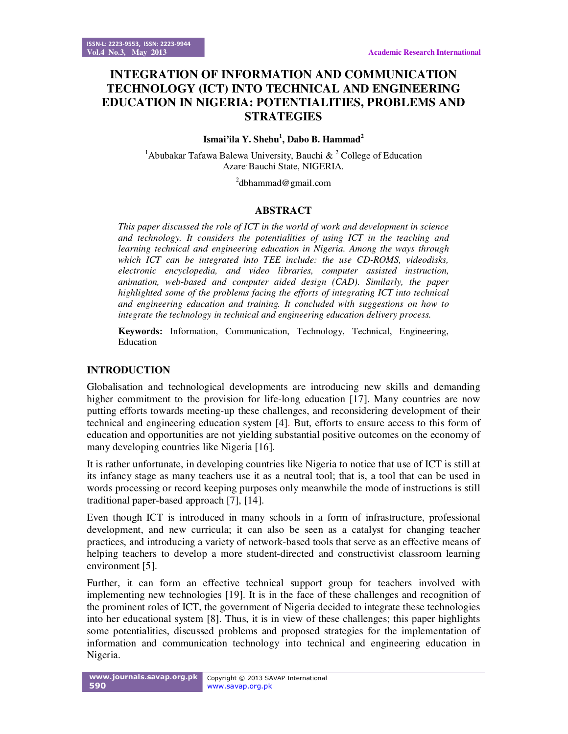# **INTEGRATION OF INFORMATION AND COMMUNICATION TECHNOLOGY (ICT) INTO TECHNICAL AND ENGINEERING EDUCATION IN NIGERIA: POTENTIALITIES, PROBLEMS AND STRATEGIES**

## **Ismai'ila Y. Shehu<sup>1</sup> , Dabo B. Hammad<sup>2</sup>**

<sup>1</sup>Abubakar Tafawa Balewa University, Bauchi & <sup>2</sup> College of Education Azare<sup>, Bauchi State, NIGERIA.</sup>

<sup>2</sup>dbhammad@gmail.com

### **ABSTRACT**

*This paper discussed the role of ICT in the world of work and development in science and technology. It considers the potentialities of using ICT in the teaching and learning technical and engineering education in Nigeria. Among the ways through which ICT can be integrated into TEE include: the use CD-ROMS, videodisks, electronic encyclopedia, and video libraries, computer assisted instruction, animation, web-based and computer aided design (CAD). Similarly, the paper highlighted some of the problems facing the efforts of integrating ICT into technical and engineering education and training. It concluded with suggestions on how to integrate the technology in technical and engineering education delivery process.* 

**Keywords:** Information, Communication, Technology, Technical, Engineering, Education

### **INTRODUCTION**

Globalisation and technological developments are introducing new skills and demanding higher commitment to the provision for life-long education [17]. Many countries are now putting efforts towards meeting-up these challenges, and reconsidering development of their technical and engineering education system [4]. But, efforts to ensure access to this form of education and opportunities are not yielding substantial positive outcomes on the economy of many developing countries like Nigeria [16].

It is rather unfortunate, in developing countries like Nigeria to notice that use of ICT is still at its infancy stage as many teachers use it as a neutral tool; that is, a tool that can be used in words processing or record keeping purposes only meanwhile the mode of instructions is still traditional paper-based approach [7], [14].

Even though ICT is introduced in many schools in a form of infrastructure, professional development, and new curricula; it can also be seen as a catalyst for changing teacher practices, and introducing a variety of network-based tools that serve as an effective means of helping teachers to develop a more student-directed and constructivist classroom learning environment [5].

Further, it can form an effective technical support group for teachers involved with implementing new technologies [19]. It is in the face of these challenges and recognition of the prominent roles of ICT, the government of Nigeria decided to integrate these technologies into her educational system [8]. Thus, it is in view of these challenges; this paper highlights some potentialities, discussed problems and proposed strategies for the implementation of information and communication technology into technical and engineering education in Nigeria.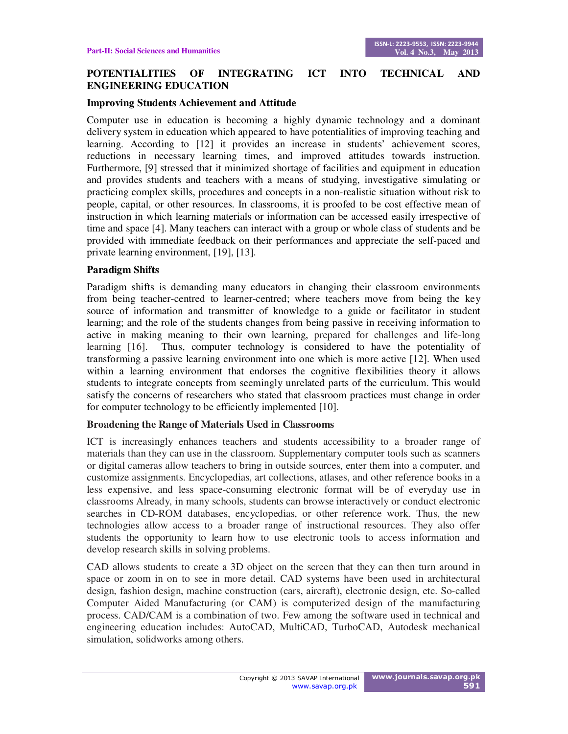## **POTENTIALITIES OF INTEGRATING ICT INTO TECHNICAL AND ENGINEERING EDUCATION**

#### **Improving Students Achievement and Attitude**

Computer use in education is becoming a highly dynamic technology and a dominant delivery system in education which appeared to have potentialities of improving teaching and learning. According to [12] it provides an increase in students' achievement scores, reductions in necessary learning times, and improved attitudes towards instruction. Furthermore, [9] stressed that it minimized shortage of facilities and equipment in education and provides students and teachers with a means of studying, investigative simulating or practicing complex skills, procedures and concepts in a non-realistic situation without risk to people, capital, or other resources. In classrooms, it is proofed to be cost effective mean of instruction in which learning materials or information can be accessed easily irrespective of time and space [4]. Many teachers can interact with a group or whole class of students and be provided with immediate feedback on their performances and appreciate the self-paced and private learning environment, [19], [13].

#### **Paradigm Shifts**

Paradigm shifts is demanding many educators in changing their classroom environments from being teacher-centred to learner-centred; where teachers move from being the key source of information and transmitter of knowledge to a guide or facilitator in student learning; and the role of the students changes from being passive in receiving information to active in making meaning to their own learning, prepared for challenges and life-long learning [16]. Thus, computer technology is considered to have the potentiality of transforming a passive learning environment into one which is more active [12]. When used within a learning environment that endorses the cognitive flexibilities theory it allows students to integrate concepts from seemingly unrelated parts of the curriculum. This would satisfy the concerns of researchers who stated that classroom practices must change in order for computer technology to be efficiently implemented [10].

#### **Broadening the Range of Materials Used in Classrooms**

ICT is increasingly enhances teachers and students accessibility to a broader range of materials than they can use in the classroom. Supplementary computer tools such as scanners or digital cameras allow teachers to bring in outside sources, enter them into a computer, and customize assignments. Encyclopedias, art collections, atlases, and other reference books in a less expensive, and less space-consuming electronic format will be of everyday use in classrooms Already, in many schools, students can browse interactively or conduct electronic searches in CD-ROM databases, encyclopedias, or other reference work. Thus, the new technologies allow access to a broader range of instructional resources. They also offer students the opportunity to learn how to use electronic tools to access information and develop research skills in solving problems.

CAD allows students to create a 3D object on the screen that they can then turn around in space or zoom in on to see in more detail. CAD systems have been used in architectural design, fashion design, machine construction (cars, aircraft), electronic design, etc. So-called Computer Aided Manufacturing (or CAM) is computerized design of the manufacturing process. CAD/CAM is a combination of two. Few among the software used in technical and engineering education includes: AutoCAD, MultiCAD, TurboCAD, Autodesk mechanical simulation, solidworks among others.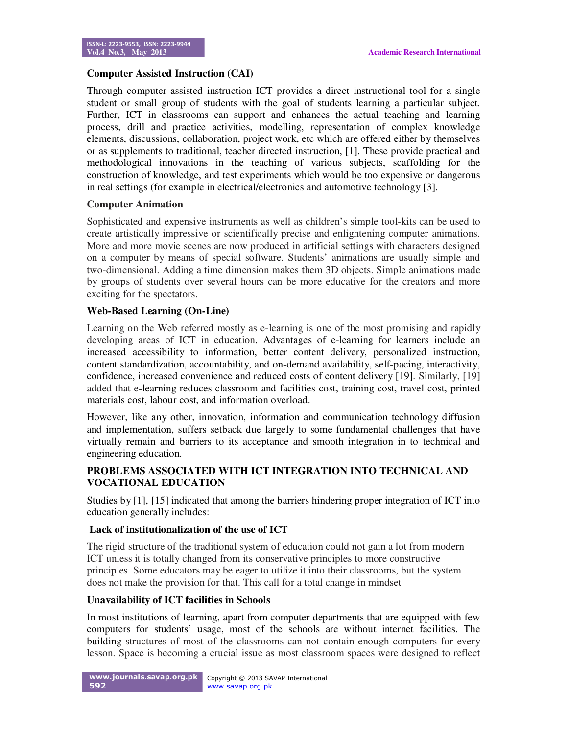## **Computer Assisted Instruction (CAI)**

Through computer assisted instruction ICT provides a direct instructional tool for a single student or small group of students with the goal of students learning a particular subject. Further, ICT in classrooms can support and enhances the actual teaching and learning process, drill and practice activities, modelling, representation of complex knowledge elements, discussions, collaboration, project work, etc which are offered either by themselves or as supplements to traditional, teacher directed instruction, [1]. These provide practical and methodological innovations in the teaching of various subjects, scaffolding for the construction of knowledge, and test experiments which would be too expensive or dangerous in real settings (for example in electrical/electronics and automotive technology [3].

### **Computer Animation**

Sophisticated and expensive instruments as well as children's simple tool-kits can be used to create artistically impressive or scientifically precise and enlightening computer animations. More and more movie scenes are now produced in artificial settings with characters designed on a computer by means of special software. Students' animations are usually simple and two-dimensional. Adding a time dimension makes them 3D objects. Simple animations made by groups of students over several hours can be more educative for the creators and more exciting for the spectators.

## **Web-Based Learning (On-Line)**

Learning on the Web referred mostly as e-learning is one of the most promising and rapidly developing areas of ICT in education. Advantages of e-learning for learners include an increased accessibility to information, better content delivery, personalized instruction, content standardization, accountability, and on-demand availability, self-pacing, interactivity, confidence, increased convenience and reduced costs of content delivery [19]. Similarly, [19] added that e-learning reduces classroom and facilities cost, training cost, travel cost, printed materials cost, labour cost, and information overload.

However, like any other, innovation, information and communication technology diffusion and implementation, suffers setback due largely to some fundamental challenges that have virtually remain and barriers to its acceptance and smooth integration in to technical and engineering education.

# **PROBLEMS ASSOCIATED WITH ICT INTEGRATION INTO TECHNICAL AND VOCATIONAL EDUCATION**

Studies by [1], [15] indicated that among the barriers hindering proper integration of ICT into education generally includes:

### **Lack of institutionalization of the use of ICT**

The rigid structure of the traditional system of education could not gain a lot from modern ICT unless it is totally changed from its conservative principles to more constructive principles. Some educators may be eager to utilize it into their classrooms, but the system does not make the provision for that. This call for a total change in mindset

### **Unavailability of ICT facilities in Schools**

In most institutions of learning, apart from computer departments that are equipped with few computers for students' usage, most of the schools are without internet facilities. The building structures of most of the classrooms can not contain enough computers for every lesson. Space is becoming a crucial issue as most classroom spaces were designed to reflect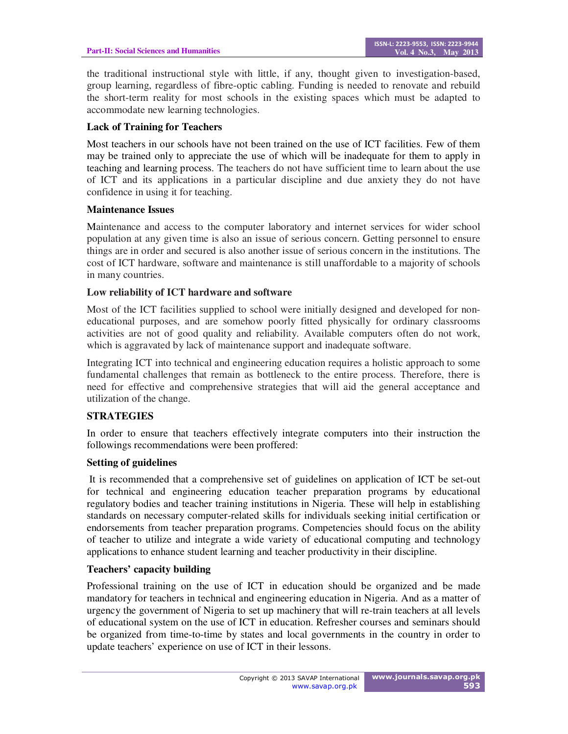the traditional instructional style with little, if any, thought given to investigation-based, group learning, regardless of fibre-optic cabling. Funding is needed to renovate and rebuild the short-term reality for most schools in the existing spaces which must be adapted to accommodate new learning technologies.

## **Lack of Training for Teachers**

Most teachers in our schools have not been trained on the use of ICT facilities. Few of them may be trained only to appreciate the use of which will be inadequate for them to apply in teaching and learning process. The teachers do not have sufficient time to learn about the use of ICT and its applications in a particular discipline and due anxiety they do not have confidence in using it for teaching.

### **Maintenance Issues**

Maintenance and access to the computer laboratory and internet services for wider school population at any given time is also an issue of serious concern. Getting personnel to ensure things are in order and secured is also another issue of serious concern in the institutions. The cost of ICT hardware, software and maintenance is still unaffordable to a majority of schools in many countries.

### **Low reliability of ICT hardware and software**

Most of the ICT facilities supplied to school were initially designed and developed for noneducational purposes, and are somehow poorly fitted physically for ordinary classrooms activities are not of good quality and reliability. Available computers often do not work, which is aggravated by lack of maintenance support and inadequate software.

Integrating ICT into technical and engineering education requires a holistic approach to some fundamental challenges that remain as bottleneck to the entire process. Therefore, there is need for effective and comprehensive strategies that will aid the general acceptance and utilization of the change.

### **STRATEGIES**

In order to ensure that teachers effectively integrate computers into their instruction the followings recommendations were been proffered:

### **Setting of guidelines**

 It is recommended that a comprehensive set of guidelines on application of ICT be set-out for technical and engineering education teacher preparation programs by educational regulatory bodies and teacher training institutions in Nigeria. These will help in establishing standards on necessary computer-related skills for individuals seeking initial certification or endorsements from teacher preparation programs. Competencies should focus on the ability of teacher to utilize and integrate a wide variety of educational computing and technology applications to enhance student learning and teacher productivity in their discipline.

### **Teachers' capacity building**

Professional training on the use of ICT in education should be organized and be made mandatory for teachers in technical and engineering education in Nigeria. And as a matter of urgency the government of Nigeria to set up machinery that will re-train teachers at all levels of educational system on the use of ICT in education. Refresher courses and seminars should be organized from time-to-time by states and local governments in the country in order to update teachers' experience on use of ICT in their lessons.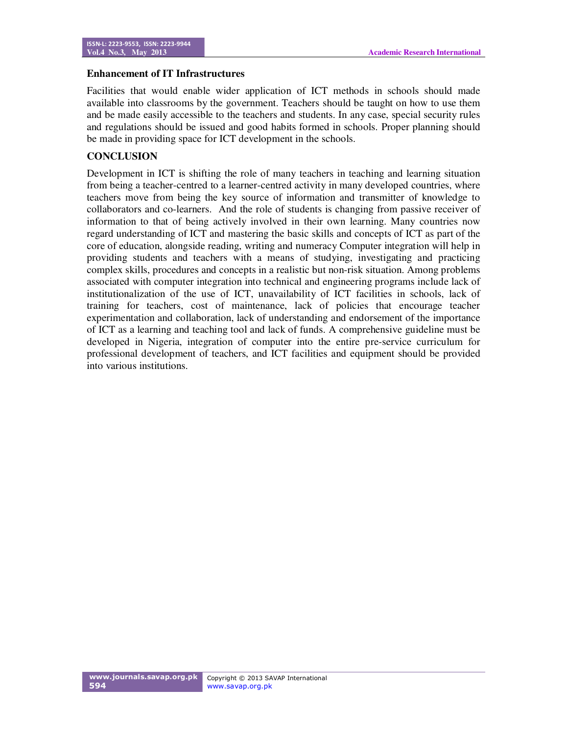### **Enhancement of IT Infrastructures**

Facilities that would enable wider application of ICT methods in schools should made available into classrooms by the government. Teachers should be taught on how to use them and be made easily accessible to the teachers and students. In any case, special security rules and regulations should be issued and good habits formed in schools. Proper planning should be made in providing space for ICT development in the schools.

## **CONCLUSION**

Development in ICT is shifting the role of many teachers in teaching and learning situation from being a teacher-centred to a learner-centred activity in many developed countries, where teachers move from being the key source of information and transmitter of knowledge to collaborators and co-learners. And the role of students is changing from passive receiver of information to that of being actively involved in their own learning. Many countries now regard understanding of ICT and mastering the basic skills and concepts of ICT as part of the core of education, alongside reading, writing and numeracy Computer integration will help in providing students and teachers with a means of studying, investigating and practicing complex skills, procedures and concepts in a realistic but non-risk situation. Among problems associated with computer integration into technical and engineering programs include lack of institutionalization of the use of ICT, unavailability of ICT facilities in schools, lack of training for teachers, cost of maintenance, lack of policies that encourage teacher experimentation and collaboration, lack of understanding and endorsement of the importance of ICT as a learning and teaching tool and lack of funds. A comprehensive guideline must be developed in Nigeria, integration of computer into the entire pre-service curriculum for professional development of teachers, and ICT facilities and equipment should be provided into various institutions.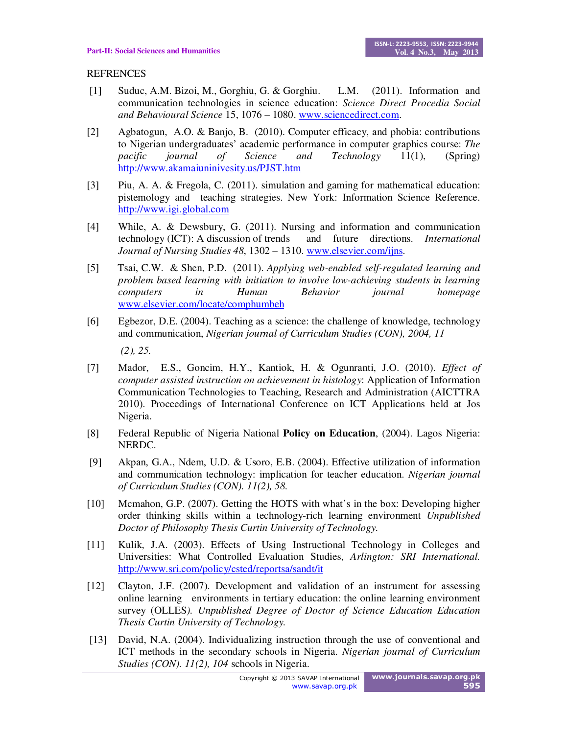## REFRENCES

- [1] Suduc, A.M. Bizoi, M., Gorghiu, G. & Gorghiu. L.M. (2011). Information and communication technologies in science education: *Science Direct Procedia Social and Behavioural Science* 15, 1076 – 1080. www.sciencedirect.com.
- [2] Agbatogun, A.O. & Banjo, B. (2010). Computer efficacy, and phobia: contributions to Nigerian undergraduates' academic performance in computer graphics course: *The pacific journal of Science and Technology* 11(1), (Spring) http://www.akamaiuninivesity.us/PJST.htm
- [3] Piu, A. A. & Fregola, C. (2011). simulation and gaming for mathematical education: pistemology and teaching strategies. New York: Information Science Reference. http://www.igi.global.com
- [4] While, A. & Dewsbury, G. (2011). Nursing and information and communication technology (ICT): A discussion of trends and future directions. *International Journal of Nursing Studies 48*, 1302 – 1310. www.elsevier.com/ijns.
- [5] Tsai, C.W. & Shen, P.D. (2011). *Applying web-enabled self-regulated learning and problem based learning with initiation to involve low-achieving students in learning computers in Human Behavior journal homepage* www.elsevier.com/locate/comphumbeh
- [6] Egbezor, D.E. (2004). Teaching as a science: the challenge of knowledge, technology and communication, *Nigerian journal of Curriculum Studies (CON), 2004, 11*

 *(2), 25.* 

- [7] Mador, E.S., Goncim, H.Y., Kantiok, H. & Ogunranti, J.O. (2010). *Effect of computer assisted instruction on achievement in histology*: Application of Information Communication Technologies to Teaching, Research and Administration (AICTTRA 2010). Proceedings of International Conference on ICT Applications held at Jos Nigeria.
- [8] Federal Republic of Nigeria National **Policy on Education**, (2004). Lagos Nigeria: NERDC.
- [9] Akpan, G.A., Ndem, U.D. & Usoro, E.B. (2004). Effective utilization of information and communication technology: implication for teacher education. *Nigerian journal of Curriculum Studies (CON). 11(2), 58.*
- [10] Mcmahon, G.P. (2007). Getting the HOTS with what's in the box: Developing higher order thinking skills within a technology-rich learning environment *Unpublished Doctor of Philosophy Thesis Curtin University of Technology.*
- [11] Kulik, J.A. (2003). Effects of Using Instructional Technology in Colleges and Universities: What Controlled Evaluation Studies, *Arlington: SRI International.* http://www.sri.com/policy/csted/reportsa/sandt/it
- [12] Clayton, J.F. (2007). Development and validation of an instrument for assessing online learning environments in tertiary education: the online learning environment survey (OLLES*). Unpublished Degree of Doctor of Science Education Education Thesis Curtin University of Technology.*
- [13] David, N.A. (2004). Individualizing instruction through the use of conventional and ICT methods in the secondary schools in Nigeria. *Nigerian journal of Curriculum Studies (CON). 11(2), 104* schools in Nigeria.